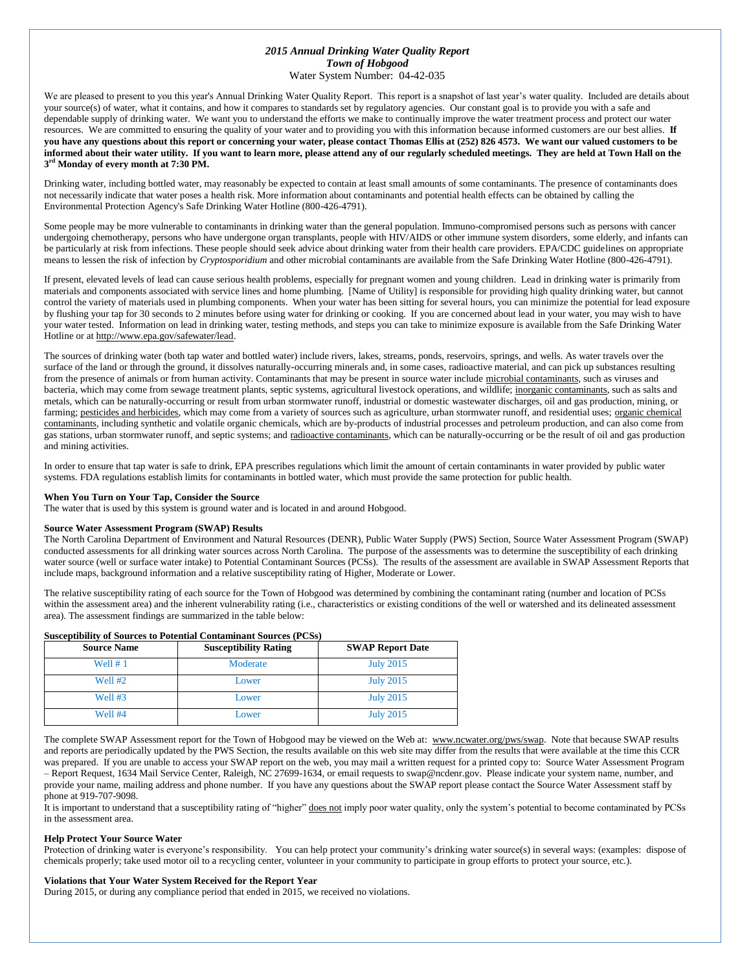# *2015 Annual Drinking Water Quality Report Town of Hobgood* Water System Number: 04**-**42-035

We are pleased to present to you this year's Annual Drinking Water Quality Report. This report is a snapshot of last year's water quality. Included are details about your source(s) of water, what it contains, and how it compares to standards set by regulatory agencies. Our constant goal is to provide you with a safe and dependable supply of drinking water. We want you to understand the efforts we make to continually improve the water treatment process and protect our water resources. We are committed to ensuring the quality of your water and to providing you with this information because informed customers are our best allies. **If you have any questions about this report or concerning your water, please contact Thomas Ellis at (252) 826 4573. We want our valued customers to be informed about their water utility. If you want to learn more, please attend any of our regularly scheduled meetings. They are held at Town Hall on the 3 rd Monday of every month at 7:30 PM.**

Drinking water, including bottled water, may reasonably be expected to contain at least small amounts of some contaminants. The presence of contaminants does not necessarily indicate that water poses a health risk. More information about contaminants and potential health effects can be obtained by calling the Environmental Protection Agency's Safe Drinking Water Hotline (800-426-4791).

Some people may be more vulnerable to contaminants in drinking water than the general population. Immuno-compromised persons such as persons with cancer undergoing chemotherapy, persons who have undergone organ transplants, people with HIV/AIDS or other immune system disorders, some elderly, and infants can be particularly at risk from infections. These people should seek advice about drinking water from their health care providers. EPA/CDC guidelines on appropriate means to lessen the risk of infection by *Cryptosporidium* and other microbial contaminants are available from the Safe Drinking Water Hotline (800-426-4791).

If present, elevated levels of lead can cause serious health problems, especially for pregnant women and young children. Lead in drinking water is primarily from materials and components associated with service lines and home plumbing. [Name of Utility] is responsible for providing high quality drinking water, but cannot control the variety of materials used in plumbing components. When your water has been sitting for several hours, you can minimize the potential for lead exposure by flushing your tap for 30 seconds to 2 minutes before using water for drinking or cooking. If you are concerned about lead in your water, you may wish to have your water tested. Information on lead in drinking water, testing methods, and steps you can take to minimize exposure is available from the Safe Drinking Water Hotline or a[t http://www.epa.gov/safewater/lead.](http://www.epa.gov/safewater/lead) 

The sources of drinking water (both tap water and bottled water) include rivers, lakes, streams, ponds, reservoirs, springs, and wells. As water travels over the surface of the land or through the ground, it dissolves naturally-occurring minerals and, in some cases, radioactive material, and can pick up substances resulting from the presence of animals or from human activity. Contaminants that may be present in source water include microbial contaminants, such as viruses and bacteria, which may come from sewage treatment plants, septic systems, agricultural livestock operations, and wildlife; inorganic contaminants, such as salts and metals, which can be naturally-occurring or result from urban stormwater runoff, industrial or domestic wastewater discharges, oil and gas production, mining, or farming; pesticides and herbicides, which may come from a variety of sources such as agriculture, urban stormwater runoff, and residential uses; organic chemical contaminants, including synthetic and volatile organic chemicals, which are by-products of industrial processes and petroleum production, and can also come from gas stations, urban stormwater runoff, and septic systems; and radioactive contaminants, which can be naturally-occurring or be the result of oil and gas production and mining activities.

In order to ensure that tap water is safe to drink, EPA prescribes regulations which limit the amount of certain contaminants in water provided by public water systems. FDA regulations establish limits for contaminants in bottled water, which must provide the same protection for public health.

#### **When You Turn on Your Tap, Consider the Source**

The water that is used by this system is ground water and is located in and around Hobgood.

### **Source Water Assessment Program (SWAP) Results**

The North Carolina Department of Environment and Natural Resources (DENR), Public Water Supply (PWS) Section, Source Water Assessment Program (SWAP) conducted assessments for all drinking water sources across North Carolina. The purpose of the assessments was to determine the susceptibility of each drinking water source (well or surface water intake) to Potential Contaminant Sources (PCSs). The results of the assessment are available in SWAP Assessment Reports that include maps, background information and a relative susceptibility rating of Higher, Moderate or Lower.

The relative susceptibility rating of each source for the Town of Hobgood was determined by combining the contaminant rating (number and location of PCSs within the assessment area) and the inherent vulnerability rating (i.e., characteristics or existing conditions of the well or watershed and its delineated assessment area). The assessment findings are summarized in the table below:

| <b>Source Name</b> | <b>Susceptibility Rating</b> | <b>SWAP Report Date</b> |  |  |
|--------------------|------------------------------|-------------------------|--|--|
| Well $# 1$         | Moderate                     | <b>July 2015</b>        |  |  |
| Well #2            | Lower                        | <b>July 2015</b>        |  |  |
| Well #3            | Lower                        | <b>July 2015</b>        |  |  |
| Well #4            | Lower                        | <b>July 2015</b>        |  |  |

#### **Susceptibility of Sources to Potential Contaminant Sources (PCSs)**

The complete SWAP Assessment report for the Town of Hobgood may be viewed on the Web at: [www.ncwater.org/pws/swap.](http://www.ncwater.org/pws/swap) Note that because SWAP results and reports are periodically updated by the PWS Section, the results available on this web site may differ from the results that were available at the time this CCR was prepared. If you are unable to access your SWAP report on the web, you may mail a written request for a printed copy to: Source Water Assessment Program – Report Request, 1634 Mail Service Center, Raleigh, NC 27699-1634, or email requests to swap@ncdenr.gov. Please indicate your system name, number, and provide your name, mailing address and phone number. If you have any questions about the SWAP report please contact the Source Water Assessment staff by phone at 919-707-9098.

It is important to understand that a susceptibility rating of "higher" does not imply poor water quality, only the system's potential to become contaminated by PCSs in the assessment area.

# **Help Protect Your Source Water**

Protection of drinking water is everyone's responsibility. You can help protect your community's drinking water source(s) in several ways: (examples: dispose of chemicals properly; take used motor oil to a recycling center, volunteer in your community to participate in group efforts to protect your source, etc.).

#### **Violations that Your Water System Received for the Report Year**

During 2015, or during any compliance period that ended in 2015, we received no violations.